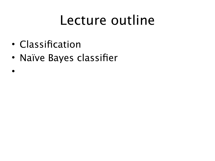#### Lecture outline

- Classification
- Naïve Bayes classifier
- •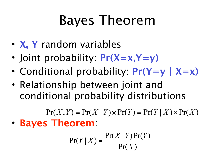## Bayes Theorem

- **X, Y** random variables
- Joint probability: **Pr(X=x,Y=y)**
- Conditional probability: **Pr(Y=y | X=x)**
- Relationship between joint and conditional probability distributions

 $Pr(X, Y) = Pr(X | Y) \times Pr(Y) = Pr(Y | X) \times Pr(X)$ • **Bayes Theorem**:

$$
\Pr(Y \mid X) = \frac{\Pr(X \mid Y) \Pr(Y)}{\Pr(X)}
$$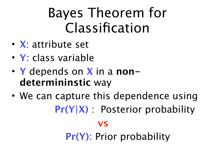### Bayes Theorem for Classification

- **X**: attribute set
- **Y**: class variable
- **Y** depends on **X** in a **nondetermininstic** way
- We can capture this dependence using 
**Pr(Y|X)** : Posterior probability

#### **vs**

**Pr(Y)**: Prior probability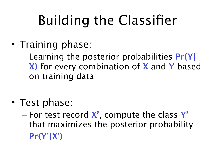# Building the Classifier

- Training phase:
	- Learning the posterior probabilities **Pr(Y| X)** for every combination of **X** and **Y** based on training data
- Test phase:
	- For test record **X'**, compute the class **Y'** that maximizes the posterior probability **Pr(Y'|X')**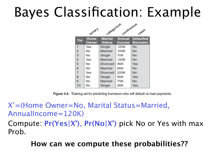#### Bayes Classification: Example

|            |                      | Categorical<br>Comtinuous       |                         |                                     |  |
|------------|----------------------|---------------------------------|-------------------------|-------------------------------------|--|
|            | <b>binary</b>        |                                 |                         | Class                               |  |
| <b>Tid</b> | <b>Home</b><br>Owner | <b>Marital</b><br><b>Status</b> | <b>Annual</b><br>Income | <b>Defaulted</b><br><b>Borrower</b> |  |
| 1          | Yes                  | Single                          | 125K                    | No                                  |  |
| 2          | No                   | Married                         | 100K                    | No                                  |  |
| з          | No                   | Single                          | 70K                     | No                                  |  |
| 4          | Yes                  | Married                         | 120K                    | No                                  |  |
| 5          | No                   | Divorced                        | 95K                     | Yes                                 |  |
| 6          | No                   | Married                         | 60K                     | No                                  |  |
| 7          | Yes                  | Divorced                        | 220K                    | No                                  |  |
| 8          | No                   | Single                          | 85K                     | Yes                                 |  |
| 9          | No                   | Married                         | 75K                     | No                                  |  |
| 10         | No                   | Single                          | 90K                     | Yes                                 |  |

Figure 4.6. Training set for predicting borrowers who will default on loan payments.

X'=(Home Owner=No, Marital Status=Married, AnnualIncome=120K)

Compute: **Pr(Yes|X')**, **Pr(No|X')** pick No or Yes with max Prob.

**How can we compute these probabilities??**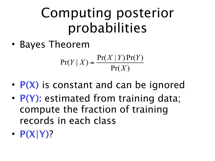#### Computing posterior probabilities

• Bayes Theorem

$$
\Pr(Y \mid X) = \frac{\Pr(X \mid Y)\Pr(Y)}{\Pr(X)}
$$

- **P(X)** is constant and can be ignored
- **P(Y):** estimated from training data; compute the fraction of training records in each class
- **P(X|Y)**?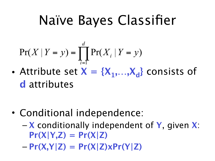#### Naïve Bayes Classifier

$$
\Pr(X \mid Y = y) = \prod_{i=1}^{d} \Pr(X_i \mid Y = y)
$$

• Attribute set  $X = \{X_1,...,X_d\}$  consists of **d** attributes

- Conditional independence:
	- **X** conditionally independent of **Y**, given **X**: **Pr(X|Y,Z) = Pr(X|Z)**
	- **Pr(X,Y|Z) = Pr(X|Z)xPr(Y|Z)**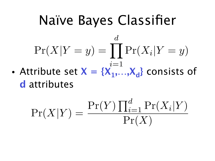#### Naïve Bayes Classifier • Attribute set  $X = \{X_1, \ldots, X_d\}$  consists of  $\Pr(X|Y=y) = \prod \Pr(X_i|Y=y)$ *d i*=1

**d** attributes

$$
\Pr(X|Y) = \frac{\Pr(Y) \prod_{i=1}^{d} \Pr(X_i|Y)}{\Pr(X)}
$$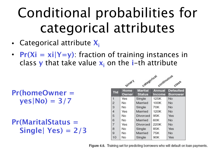## Conditional probabilities for categorical attributes

- Categorical attribute **Xi**
- **Pr(Xi = xi|Y=y)**: fraction of training instances in class **y** that take value  $x_i$  on the *i*-th attribute

**Pr(homeOwner = yes|No) = 3/7**

**Pr(MaritalStatus = Single| Yes) = 2/3**

|            | categorical<br>continuous |                                 |                                |                                     |  |
|------------|---------------------------|---------------------------------|--------------------------------|-------------------------------------|--|
|            | <b>Pinary</b>             |                                 |                                | Class                               |  |
| <b>Tid</b> | <b>Home</b><br>Owner      | <b>Marital</b><br><b>Status</b> | <b>Annual</b><br><b>Income</b> | <b>Defaulted</b><br><b>Borrower</b> |  |
| 1          | Yes                       | Single                          | 125K                           | No                                  |  |
| 2          | No                        | Married                         | 100K                           | No                                  |  |
| 3          | No                        | Single                          | 70K                            | No                                  |  |
| 4          | Yes                       | Married                         | 120K                           | No                                  |  |
| 5          | No                        | Divorced                        | 95K                            | Yes                                 |  |
| 6          | No                        | Married                         | 60K                            | No                                  |  |
| 7          | Yes                       | Divorced                        | 220K                           | No                                  |  |
| 8          | No                        | Single                          | 85K                            | Yes                                 |  |
| 9          | No                        | Married                         | 75K                            | No                                  |  |
| 10         | No                        | Single                          | 90K                            | Yes                                 |  |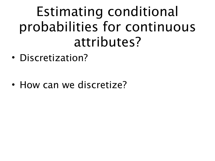#### Estimating conditional probabilities for continuous attributes?

• Discretization?

• How can we discretize?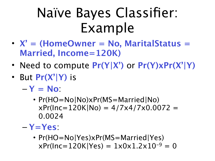### Naïve Bayes Classifier: Example

- **X' = (HomeOwner = No, MaritalStatus = Married, Income=120K)**
- Need to compute **Pr(Y|X')** or **Pr(Y)xPr(X'|Y)**
- But **Pr(X'|Y)** is
	- $-Y = No$ 
		- Pr(HO=No|No)xPr(MS=Married|No)  $xPr(Inc=120K|No) = 4/7x4/7x0.0072 =$ 0.0024
	- **Y=Yes**:
		- Pr(HO=No|Yes)xPr(MS=Married|Yes)  $xPr(Inc=120K|Yes) = 1x0x1.2x10^{-9} = 0$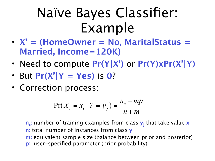#### Naïve Bayes Classifier: Example

- **X' = (HomeOwner = No, MaritalStatus = Married, Income=120K)**
- Need to compute **Pr(Y|X')** or **Pr(Y)xPr(X'|Y)**
- But  $Pr(X'|Y = Yes)$  is 0?
- Correction process:

$$
\Pr(X_{i} = x_{i} | Y = y_{j}) = \frac{n_{c} + mp}{n + m}
$$

n<sub>c</sub>: number of training examples from class  $y_j$  that take value  $x_i$ **n:** total number of instances from class  $y_i$ **m:** equivalent sample size (balance between prior and posterior) **p:** user-specified parameter (prior probability)